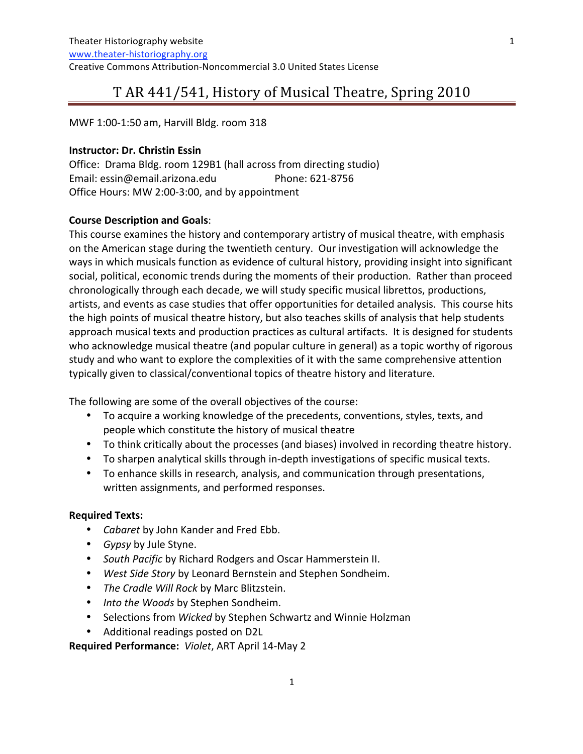1

MWF
1:00‐1:50
am,
Harvill
Bldg.
room
318

#### **Instructor:
Dr.
Christin
Essin**

Office: Drama Bldg. room 129B1 (hall across from directing studio) Email:
essin@email.arizona.edu Phone:
621‐8756 Office
Hours:
MW
2:00‐3:00,
and
by
appointment

### **Course
Description
and
Goals**:

This course examines the history and contemporary artistry of musical theatre, with emphasis on
the
American
stage
during
the
twentieth
century.

Our
investigation
will
acknowledge
the ways in which musicals function as evidence of cultural history, providing insight into significant social,
political,
economic
trends
during
the
moments
of
their
production.

Rather
than
proceed chronologically
through
each
decade,
we
will
study
specific
musical
librettos,
productions, artists, and events as case studies that offer opportunities for detailed analysis. This course hits the
high
points
of
musical
theatre
history,
but
also
teaches
skills
of
analysis
that
help
students approach musical texts and production practices as cultural artifacts. It is designed for students who acknowledge musical theatre (and popular culture in general) as a topic worthy of rigorous study
and
who
want
to explore
the
complexities
of
it with
the
same
comprehensive
attention typically given to classical/conventional topics of theatre history and literature.

The following are some of the overall objectives of the course:

- To acquire a working knowledge of the precedents, conventions, styles, texts, and people
which
constitute
the
history
of
musical
theatre
- To think critically about the processes (and biases) involved in recording theatre history.
- To sharpen analytical skills through in-depth investigations of specific musical texts.
- To enhance skills in research, analysis, and communication through presentations, written
assignments,
and
performed
responses.

### **Required
Texts:**

- *Cabaret* by
John
Kander
and
Fred
Ebb.
- *Gypsy* by
Jule
Styne.
- South Pacific by Richard Rodgers and Oscar Hammerstein II.
- *West
Side
Story* by
Leonard
Bernstein
and
Stephen
Sondheim.
- *The
Cradle
Will
Rock* by
Marc
Blitzstein.
- *Into
the
Woods* by
Stephen
Sondheim.
- Selections
from *Wicked* by
Stephen
Schwartz
and
Winnie
Holzman
- Additional readings posted on D2L

**Required
Performance:** *Violet*,
ART
April
14‐May
2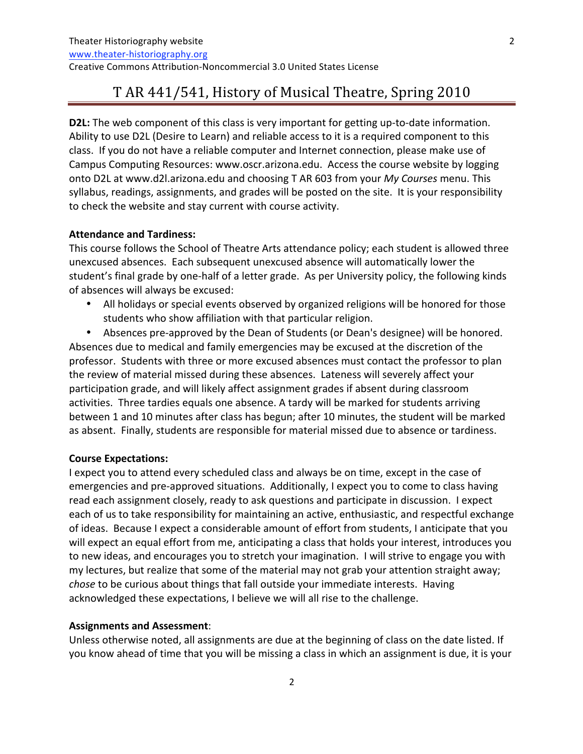**D2L:** The web component of this class is very important for getting up-to-date information. Ability to use D2L (Desire to Learn) and reliable access to it is a required component to this class. If you do not have a reliable computer and Internet connection, please make use of Campus Computing Resources: www.oscr.arizona.edu. Access the course website by logging onto
D2L
at
www.d2l.arizona.edu
and
choosing
T
AR
603
from
your *My
Courses* menu.
This syllabus, readings, assignments, and grades will be posted on the site. It is your responsibility to
check
the
website
and
stay
current
with
course
activity.

#### **Attendance
and
Tardiness:**

This
course
follows
the
School
of
Theatre
Arts
attendance
policy;
each
student
is
allowed
three unexcused absences. Each subsequent unexcused absence will automatically lower the student's final grade by one-half of a letter grade. As per University policy, the following kinds of
absences
will
always
be
excused:

• All holidays or special events observed by organized religions will be honored for those students
who
show
affiliation
with
that
particular
religion.

• Absences pre-approved by the Dean of Students (or Dean's designee) will be honored. Absences due to medical and family emergencies may be excused at the discretion of the professor. Students with three or more excused absences must contact the professor to plan the
review
of
material
missed
during
these
absences.

Lateness
will
severely
affect
your participation
grade,
and
will
likely
affect
assignment
grades
if
absent
during
classroom activities. Three tardies equals one absence. A tardy will be marked for students arriving between
1
and
10
minutes
after
class
has
begun;
after
10
minutes,
the
student
will
be
marked as absent. Finally, students are responsible for material missed due to absence or tardiness.

#### **Course
Expectations:**

I expect you to attend every scheduled class and always be on time, except in the case of emergencies and pre-approved situations. Additionally, I expect you to come to class having read each assignment closely, ready to ask questions and participate in discussion. I expect each of us to take responsibility for maintaining an active, enthusiastic, and respectful exchange of ideas. Because I expect a considerable amount of effort from students, I anticipate that you will expect an equal effort from me, anticipating a class that holds your interest, introduces you to new ideas, and encourages you to stretch your imagination. I will strive to engage you with my lectures, but realize that some of the material may not grab your attention straight away; chose to be curious about things that fall outside your immediate interests. Having acknowledged these expectations, I believe we will all rise to the challenge.

### **Assignments and
Assessment**:

Unless otherwise noted, all assignments are due at the beginning of class on the date listed. If you know ahead of time that you will be missing a class in which an assignment is due, it is your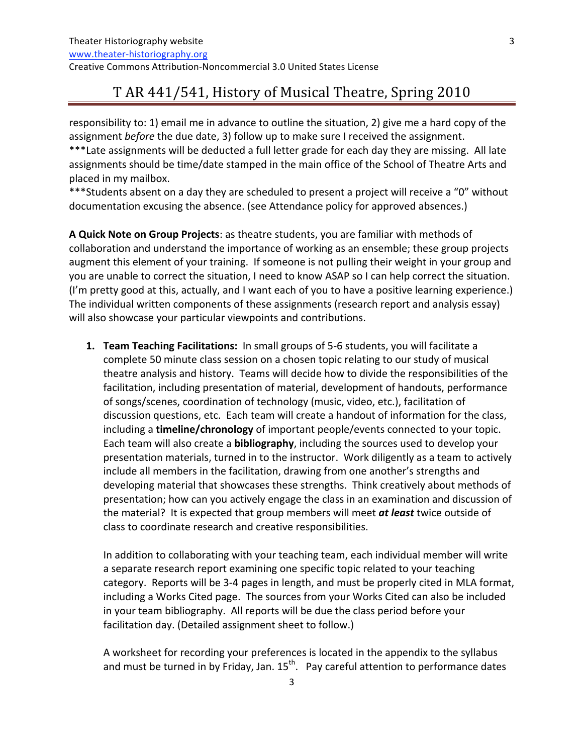Theater
Historiography
website www.theater‐historiography.org Creative
Commons
Attribution‐Noncommercial
3.0
United
States
License

# T
AR
441/541,
History of
Musical
Theatre,
Spring
2010

responsibility to: 1) email me in advance to outline the situation, 2) give me a hard copy of the assignment before the due date, 3) follow up to make sure I received the assignment. \*\*\* Late assignments will be deducted a full letter grade for each day they are missing. All late assignments
should
be
time/date
stamped
in
the
main
office
of
the
School
of
Theatre
Arts
and placed
in
my
mailbox.

\*\*\*Students absent on a day they are scheduled to present a project will receive a "0" without documentation excusing the absence. (see Attendance policy for approved absences.)

A Quick Note on Group Projects: as theatre students, you are familiar with methods of collaboration
and understand the
importance
of
working
as
an
ensemble;
these
group
projects augment this element of your training. If someone is not pulling their weight in your group and you are unable to correct the situation, I need to know ASAP so I can help correct the situation. (I'm pretty good at this, actually, and I want each of you to have a positive learning experience.) The individual written components of these assignments (research report and analysis essay) will also showcase your particular viewpoints and contributions.

1. Team Teaching Facilitations: In small groups of 5-6 students, you will facilitate a complete
50
minute
class
session
on
a
chosen
topic
relating
to
our
study
of
musical theatre
analysis
and
history.

Teams
will
decide
how
to
divide
the
responsibilities
of
the facilitation, including presentation of material, development of handouts, performance of
songs/scenes,
coordination
of
technology
(music,
video,
etc.),
facilitation
of discussion questions, etc. Each team will create a handout of information for the class, including a **timeline/chronology** of important people/events connected to your topic. Each team will also create a **bibliography**, including the sources used to develop your presentation materials, turned in to the instructor. Work diligently as a team to actively include all members in the facilitation, drawing from one another's strengths and developing material that showcases these strengths. Think creatively about methods of presentation;
how
can
you
actively
engage
the
class
in
an
examination
and
discussion
of the material? It is expected that group members will meet at least twice outside of class
to
coordinate
research
and
creative
responsibilities.

In
addition
to
collaborating
with
your
teaching
team,
each
individual
member will
write a separate research report examining one specific topic related to your teaching category.

Reports
will
be
3‐4
pages
in
length,
and
must
be
properly
cited
in
MLA
format, including a Works Cited page. The sources from your Works Cited can also be included in
your
team
bibliography.

All
reports
will
be
due
the
class
period
before
your facilitation day. (Detailed assignment sheet to follow.)

A
worksheet
for
recording
your
preferences
is
located
in
the
appendix
to
the
syllabus and must be turned in by Friday, Jan. 15<sup>th</sup>. Pay careful attention to performance dates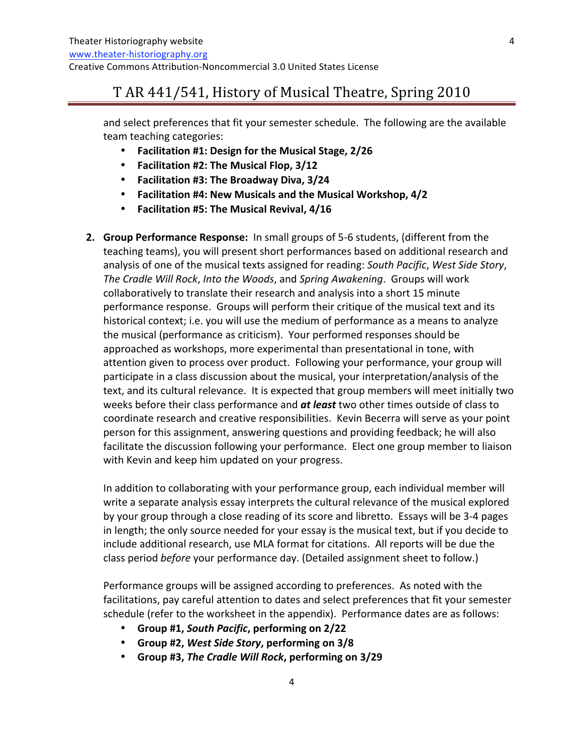and
select
preferences
that
fit
your
semester
schedule.

The
following
are
the
available team
teaching
categories:

- **Facilitation
#1:
Design
for
the
Musical Stage,
2/26**
- **Facilitation
#2:
The
Musical
Flop,
3/12**
- **Facilitation
#3:
The
Broadway
Diva,
3/24**
- **•** Facilitation #4: New Musicals and the Musical Workshop, 4/2
- **Facilitation
#5:
The
Musical
Revival,
4/16**
- 2. Group Performance Response: In small groups of 5-6 students, (different from the teaching teams), you will present short performances based on additional research and analysis
of
one
of
the
musical
texts
assigned
for
reading: *South
Pacific*, *West
Side
Story*, The Cradle Will Rock, Into the Woods, and Spring Awakening. Groups will work collaboratively
to
translate
their
research
and
analysis
into
a
short
15
minute performance response. Groups will perform their critique of the musical text and its historical context; i.e. you will use the medium of performance as a means to analyze the
musical
(performance
as
criticism).

Your
performed responses
should
be approached
as
workshops,
more
experimental
than
presentational
in
tone,
with attention given to process over product. Following your performance, your group will participate in a class discussion about the musical, your interpretation/analysis of the text, and its cultural relevance. It is expected that group members will meet initially two weeks before their class performance and *at least* two other times outside of class to coordinate research and creative responsibilities. Kevin Becerra will serve as your point person
for
this
assignment,
answering
questions
and
providing
feedback;
he
will
also facilitate the discussion following your performance. Elect one group member to liaison with
Kevin
and
keep
him
updated
on
your
progress.

In addition to collaborating with your performance group, each individual member will write a separate analysis essay interprets the cultural relevance of the musical explored by your group through a close reading of its score and libretto. Essays will be 3-4 pages in length; the only source needed for your essay is the musical text, but if you decide to include additional research, use MLA format for citations. All reports will be due the class period *before* your performance day. (Detailed assignment sheet to follow.)

Performance groups will be assigned according to preferences. As noted with the facilitations, pay careful attention to dates and select preferences that fit your semester schedule (refer to the worksheet in the appendix). Performance dates are as follows:

- **Group
#1,** *South
Pacific***,
performing
on 2/22**
- **Group
#2,** *West
Side
Story***,
performing
on 3/8**
- **Group
#3,** *The
Cradle
Will
Rock***,
performing
on 3/29**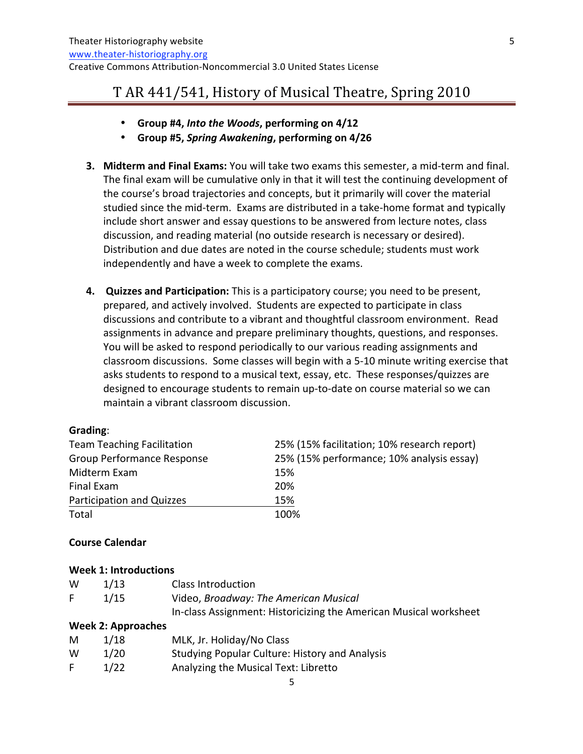- **Group
#4,** *Into
the
Woods***,
performing
on 4/12**
- **Group
#5,** *Spring
Awakening***,
performing
on 4/26**
- **3. Midterm and Final Exams:** You will take two exams this semester, a mid-term and final. The final exam will be cumulative only in that it will test the continuing development of the
course's
broad
trajectories
and
concepts,
but
it
primarily
will
cover
the
material studied since the mid-term. Exams are distributed in a take-home format and typically include short answer and essay questions to be answered from lecture notes, class discussion, and reading material (no outside research is necessary or desired). Distribution
and
due
dates
are
noted
in
the
course
schedule;
students
must
work independently
and
have
a
week
to
complete
the
exams.
- **4.** Quizzes and Participation: This is a participatory course; you need to be present, prepared,
and
actively
involved.

Students
are
expected
to
participate
in
class discussions and contribute to a vibrant and thoughtful classroom environment. Read assignments
in
advance
and
prepare
preliminary
thoughts,
questions,
and
responses. You will be asked to respond periodically to our various reading assignments and classroom discussions. Some classes will begin with a 5-10 minute writing exercise that asks students to respond to a musical text, essay, etc. These responses/quizzes are designed to encourage students to remain up-to-date on course material so we can maintain
a
vibrant
classroom
discussion.

#### **Grading**:

| <b>Team Teaching Facilitation</b> | 25% (15% facilitation; 10% research report) |
|-----------------------------------|---------------------------------------------|
| <b>Group Performance Response</b> | 25% (15% performance; 10% analysis essay)   |
| Midterm Exam                      | 15%                                         |
| Final Exam                        | <b>20%</b>                                  |
| Participation and Quizzes         | 15%                                         |
| Total                             | 100%                                        |

#### **Course
Calendar**

#### **Week
1: Introductions**

| W  | 1/13 | Class Introduction                                                |
|----|------|-------------------------------------------------------------------|
| F. | 1/15 | Video, Broadway: The American Musical                             |
|    |      | In-class Assignment: Historicizing the American Musical worksheet |

#### **Week
2: Approaches**

| M  | 1/18 | MLK, Jr. Holiday/No Class                             |
|----|------|-------------------------------------------------------|
| w  | 1/20 | <b>Studying Popular Culture: History and Analysis</b> |
| F. | 1/22 | Analyzing the Musical Text: Libretto                  |

5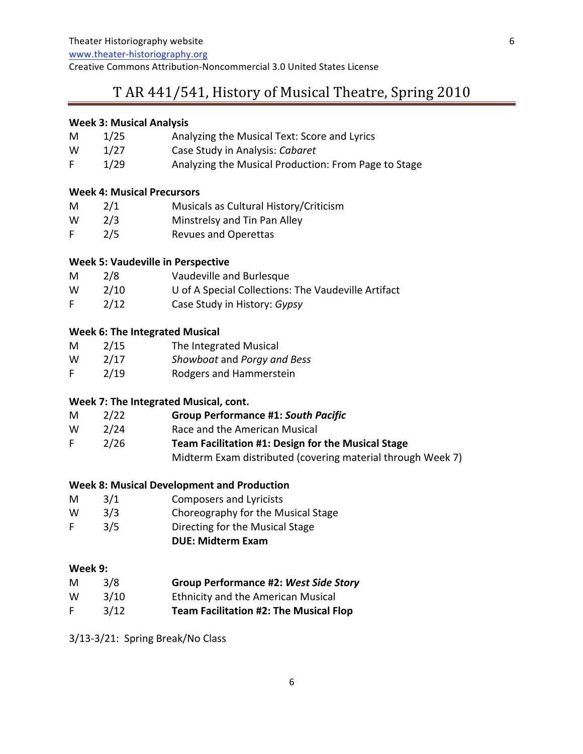www.theater‐historiography.org

Creative
Commons
Attribution‐Noncommercial
3.0
United
States
License

## T
AR
441/541,
History of
Musical
Theatre,
Spring
2010

#### **Week
3:
Musical
Analysis**

| M  | 1/25 | Analyzing the Musical Text: Score and Lyrics         |
|----|------|------------------------------------------------------|
| W  | 1/27 | Case Study in Analysis: Cabaret                      |
| F. | 1/29 | Analyzing the Musical Production: From Page to Stage |

#### **Week
4:
Musical
Precursors**

| M | 2/1 | Musicals as Cultural History/Criticism |
|---|-----|----------------------------------------|
| W | 2/3 | Minstrelsy and Tin Pan Alley           |
| F | 2/5 | <b>Revues and Operettas</b>            |

#### **Week
5:
Vaudeville
in
Perspective**

| M  | 2/8  | Vaudeville and Burlesque                            |
|----|------|-----------------------------------------------------|
| W  | 2/10 | U of A Special Collections: The Vaudeville Artifact |
| F. | 2/12 | Case Study in History: Gypsy                        |

#### **Week
6:
The
Integrated
Musical**

| M | 2/15 | The Integrated Musical      |
|---|------|-----------------------------|
| W | 2/17 | Showboat and Porgy and Bess |
| F | 2/19 | Rodgers and Hammerstein     |

### **Week
7:
The
Integrated
Musical,
cont.**

| M | 2/22 | <b>Group Performance #1: South Pacific</b> |
|---|------|--------------------------------------------|
|---|------|--------------------------------------------|

- W 2/24 Race
and
the
American
Musical
- F 2/26 **Team
Facilitation
#1:
Design
for
the
Musical
Stage** Midterm
Exam
distributed
(covering
material
through
Week
7)

#### **Week
8:
Musical
Development
and
Production**

- M 3/1 Composers
and
Lyricists
- W 3/3 Choreography for the Musical Stage
- F 3/5 Directing for the Musical Stage
	- **DUE:
	Midterm
	Exam**

#### **Week
9:**

| M | 3/8 | <b>Group Performance #2: West Side Story</b> |  |
|---|-----|----------------------------------------------|--|
|   |     |                                              |  |

- W 3/10 Ethnicity and the American Musical
- F 3/12 **Team
Facilitation
#2: The
Musical
Flop**

3/13‐3/21:

Spring
Break/No
Class

6